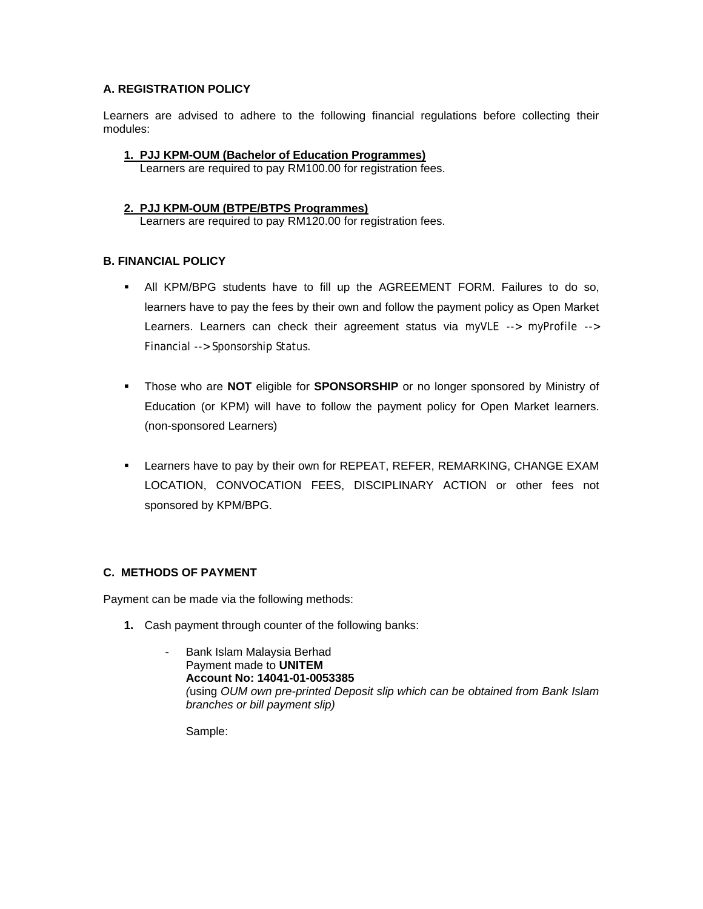# **A. REGISTRATION POLICY**

Learners are advised to adhere to the following financial regulations before collecting their modules:

# **1. PJJ KPM-OUM (Bachelor of Education Programmes)**

Learners are required to pay RM100.00 for registration fees.

### **2. PJJ KPM-OUM (BTPE/BTPS Programmes)**

Learners are required to pay RM120.00 for registration fees.

# **B. FINANCIAL POLICY**

- All KPM/BPG students have to fill up the AGREEMENT FORM. Failures to do so, learners have to pay the fees by their own and follow the payment policy as Open Market Learners. Learners can check their agreement status via myVLE --> myProfile --> Financial --> Sponsorship Status.
- Those who are **NOT** eligible for **SPONSORSHIP** or no longer sponsored by Ministry of Education (or KPM) will have to follow the payment policy for Open Market learners. (non-sponsored Learners)
- Learners have to pay by their own for REPEAT, REFER, REMARKING, CHANGE EXAM LOCATION, CONVOCATION FEES, DISCIPLINARY ACTION or other fees not sponsored by KPM/BPG.

# **C. METHODS OF PAYMENT**

Payment can be made via the following methods:

- **1.** Cash payment through counter of the following banks:
	- Bank Islam Malaysia Berhad Payment made to **UNITEM Account No: 14041-01-0053385**  *(*using *OUM own pre-printed Deposit slip which can be obtained from Bank Islam branches or bill payment slip)*

Sample: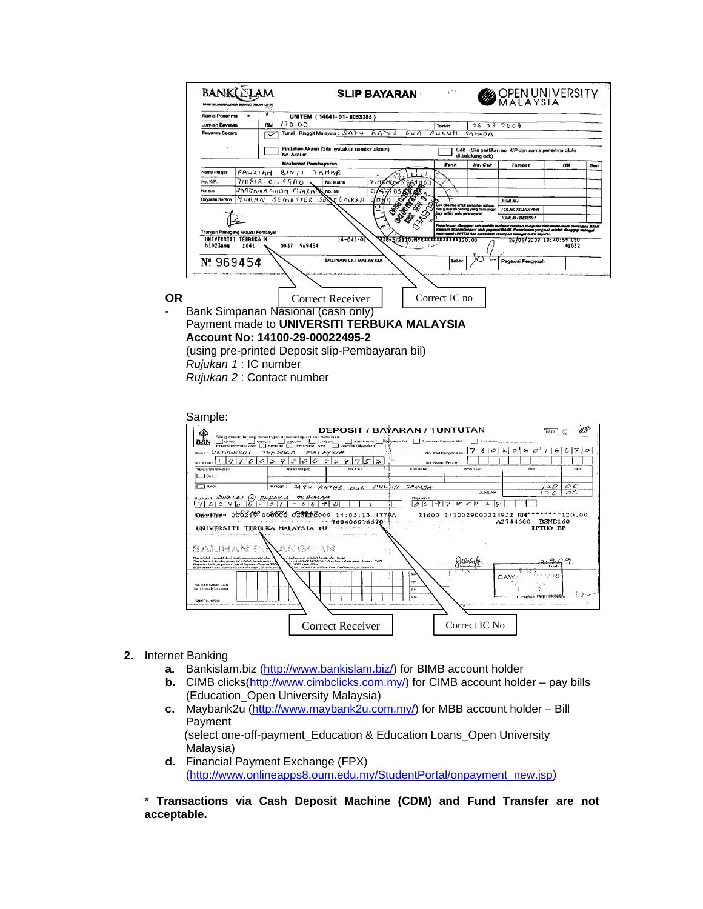|                                    | Nama Penerima<br>۰ |                                                           | UNITEM (14041-01-0053385)  |                            |                                    |                       |                                     |                                                                                                                                                            |           |     |
|------------------------------------|--------------------|-----------------------------------------------------------|----------------------------|----------------------------|------------------------------------|-----------------------|-------------------------------------|------------------------------------------------------------------------------------------------------------------------------------------------------------|-----------|-----|
| Jumlah Bayaran                     |                    | RM                                                        | 120.00                     |                            |                                    |                       | 26.08.2009                          |                                                                                                                                                            |           |     |
| Bayaran Secara                     |                    | Tunsi Ringgit Malaysia: SATU RATUS                        |                            |                            | 0.4A                               | PULUH                 | <b>SAHAJA</b>                       |                                                                                                                                                            |           |     |
|                                    |                    | Pindahan Akaun (Sila nyatakan nombor akaun)<br>No. Akaun: |                            |                            |                                    |                       | di belakang cek)                    | Cek (Sila pastikan no. K/P dan nama penerima ditulis                                                                                                       |           |     |
|                                    |                    | <b>Maklumat Pembayaran</b>                                |                            |                            |                                    | Bank                  | No. Cak                             | <b>Tempst</b>                                                                                                                                              | <b>RM</b> | Sen |
| Nama Polajar                       | FAUZIAH.           | BJNTI                                                     | TANAR                      |                            |                                    |                       |                                     |                                                                                                                                                            |           |     |
| No. K/P.                           |                    | 7/08/8-01-5500                                            | No. Matrik                 |                            | 902                                |                       |                                     |                                                                                                                                                            |           |     |
| Kursus                             |                    | SARJANA MUOA PUARAN                                       | No. Tal                    |                            |                                    |                       |                                     |                                                                                                                                                            |           |     |
| Bayaran Kerana                     |                    | YURAN SEMESTER                                            | $SENTE$ $ORER$<br>$\sigma$ |                            |                                    |                       | Jek ciherima untuk pungulan sahaja. | <b>JUMBAN</b>                                                                                                                                              |           |     |
|                                    |                    |                                                           |                            | neversions and called trad | Sila gunakan borang yang bersamaan | <b>TOLAK KOUNSYEN</b> |                                     |                                                                                                                                                            |           |     |
|                                    |                    |                                                           |                            |                            |                                    |                       |                                     | <b>JUAN AH BERSIH</b>                                                                                                                                      |           |     |
| T/tangan Pemegang Akaun / Pembayar |                    |                                                           |                            |                            |                                    |                       |                                     | sah apabila terdapat cetakan komputer oleh mana-mata cawangen BANK<br>atsupun ditandatangani oleh pegawal BANK. Penerimaan yang sah adalah danggap sebagai |           |     |
| UNIVERSITI TERRUKA M               |                    |                                                           | $14 - 041 - 01$            |                            | 338-522110                         | 011111111111120.00    |                                     | resit resmi UNITEM dan hendaklah disimpan sabagai bukti beyaran.<br>26/08/2009 10:40:59 USU                                                                |           |     |
| bi023mom                           | 1041               | 969454<br>0037                                            |                            |                            |                                    |                       |                                     |                                                                                                                                                            | 01032     |     |
|                                    |                    |                                                           | SALINAN OU MALAYSIA        |                            |                                    | Teller                |                                     | Pegawai Pengesah                                                                                                                                           |           |     |
| Nº 969454                          |                    |                                                           |                            |                            |                                    |                       |                                     |                                                                                                                                                            |           |     |
|                                    |                    |                                                           |                            |                            |                                    |                       |                                     |                                                                                                                                                            |           |     |
|                                    |                    |                                                           |                            |                            |                                    |                       |                                     |                                                                                                                                                            |           |     |
|                                    |                    |                                                           | Correct Receiver           |                            |                                    | Correct IC no         |                                     |                                                                                                                                                            |           |     |
|                                    |                    |                                                           |                            |                            |                                    |                       |                                     |                                                                                                                                                            |           |     |
|                                    |                    |                                                           |                            |                            |                                    |                       |                                     |                                                                                                                                                            |           |     |
| Bank Simpanan Nasional (cash only) |                    |                                                           |                            |                            |                                    |                       |                                     |                                                                                                                                                            |           |     |
|                                    |                    | Payment made to UNIVERSITI TERBUKA MALAYSIA               |                            |                            |                                    |                       |                                     |                                                                                                                                                            |           |     |

*Rujukan 1* : IC number

*Rujukan 2* : Contact number

Sample:



#### **2.** Internet Banking

- **a.** Bankislam.biz ([http://www.bankislam.biz/\)](http://www.bankislam.biz/) for BIMB account holder
- **b.** CIMB clicks(<http://www.cimbclicks.com.my/>) for CIMB account holder pay bills (Education\_Open University Malaysia)
- **c.** Maybank2u (<http://www.maybank2u.com.my/>) for MBB account holder Bill Payment

 (select one-off-payment\_Education & Education Loans\_Open University Malaysia)

**d.** Financial Payment Exchange (FPX) [\(http://www.onlineapps8.oum.edu.my/StudentPortal/onpayment\\_new.jsp\)](http://www.onlineapps8.oum.edu.my/StudentPortal/onpayment_new.jsp)

\* **Transactions via Cash Deposit Machine (CDM) and Fund Transfer are not acceptable.**